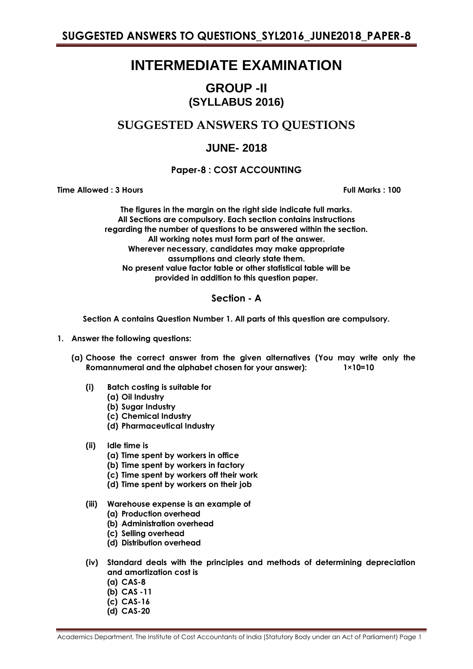# **INTERMEDIATE EXAMINATION**

## **GROUP -II (SYLLABUS 2016)**

## **SUGGESTED ANSWERS TO QUESTIONS**

## **JUNE- 2018**

## **Paper-8 : COST ACCOUNTING**

**Time Allowed : 3 Hours Full Marks : 100**

**The figures in the margin on the right side indicate full marks. All Sections are compulsory. Each section contains instructions regarding the number of questions to be answered within the section. All working notes must form part of the answer. Wherever necessary, candidates may make appropriate assumptions and clearly state them. No present value factor table or other statistical table will be provided in addition to this question paper.**

## **Section - A**

**Section A contains Question Number 1. All parts of this question are compulsory.**

- **1. Answer the following questions:**
	- **(a) Choose the correct answer from the given alternatives (You may write only the Romannumeral and the alphabet chosen for your answer): 1×10=10**
		- **(i) Batch costing is suitable for**
			- **(a) Oil Industry**
			- **(b) Sugar Industry**
			- **(c) Chemical Industry**
			- **(d) Pharmaceutical Industry**
		- **(ii) Idle time is**
			- **(a) Time spent by workers in office**
			- **(b) Time spent by workers in factory**
			- **(c) Time spent by workers off their work**
			- **(d) Time spent by workers on their job**
		- **(iii) Warehouse expense is an example of**
			- **(a) Production overhead**
			- **(b) Administration overhead**
			- **(c) Selling overhead**
			- **(d) Distribution overhead**
		- **(iv) Standard deals with the principles and methods of determining depreciation and amortization cost is**
			- **(a) CAS-8**
			- **(b) CAS -11**
			- **(c) CAS-16**
			- **(d) CAS-20**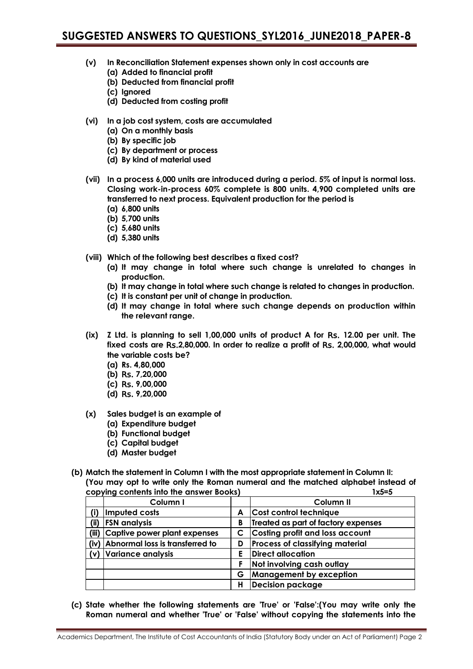- **(v) In Reconciliation Statement expenses shown only in cost accounts are**
	- **(a) Added to financial profit**
	- **(b) Deducted from financial profit**
	- **(c) Ignored**
	- **(d) Deducted from costing profit**
- **(vi) In a job cost system, costs are accumulated**
	- **(a) On a monthly basis**
	- **(b) By specific job**
	- **(c) By department or process**
	- **(d) By kind of material used**
- **(vii) In a process 6,000 units are introduced during a period. 5% of input is normal loss. Closing work-in-process 60% complete is 800 units. 4,900 completed units are transferred to next process. Equivalent production for the period is**
	- **(a) 6,800 units**
	- **(b) 5,700 units**
	- **(c) 5,680 units**
	- **(d) 5,380 units**
- **(viii) Which of the following best describes a fixed cost?**
	- **(a) It may change in total where such change is unrelated to changes in production.**
	- **(b) It may change in total where such change is related to changes in production.**
	- **(c) It is constant per unit of change in production.**
	- **(d) It may change in total where such change depends on production within the relevant range.**
- **(ix) Z Ltd. is planning to sell 1,00,000 units of product A for** Rs. **12.00 per unit. The fixed costs are** Rs.**2,80,000. In order to realize a profit of** Rs. **2,00,000, what would the variable costs be?**
	- **(a) Rs. 4,80,000**
	- **(b)** Rs. **7,20,000**
	- **(c)** Rs. **9,00,000**
	- **(d)** Rs. **9,20,000**
- **(x) Sales budget is an example of**
	- **(a) Expenditure budget**
	- **(b) Functional budget**
	- **(c) Capital budget**
	- **(d) Master budget**
- **(b) Match the statement in Column I with the most appropriate statement in Column II: (You may opt to write only the Roman numeral and the matched alphabet instead of copying contents into the answer Books) 1x5=5**

| Column I |                                                                                                                                       | Column <sub>II</sub>                   |
|----------|---------------------------------------------------------------------------------------------------------------------------------------|----------------------------------------|
|          | A                                                                                                                                     | Cost control technique                 |
|          | B                                                                                                                                     | Treated as part of factory expenses    |
|          | C.                                                                                                                                    | <b>Costing profit and loss account</b> |
|          | D                                                                                                                                     | Process of classifying material        |
|          | E                                                                                                                                     | <b>Direct allocation</b>               |
|          | F                                                                                                                                     | Not involving cash outlay              |
|          | G                                                                                                                                     | <b>Management by exception</b>         |
|          | н                                                                                                                                     | <b>Decision package</b>                |
|          | Imputed costs<br><b>FSN</b> analysis<br>Captive power plant expenses<br>(iv) Abnormal loss is transferred to<br>(v) Variance analysis |                                        |

**(c) State whether the following statements are 'True' or 'False':(You may write only the Roman numeral and whether 'True' or 'False' without copying the statements into the**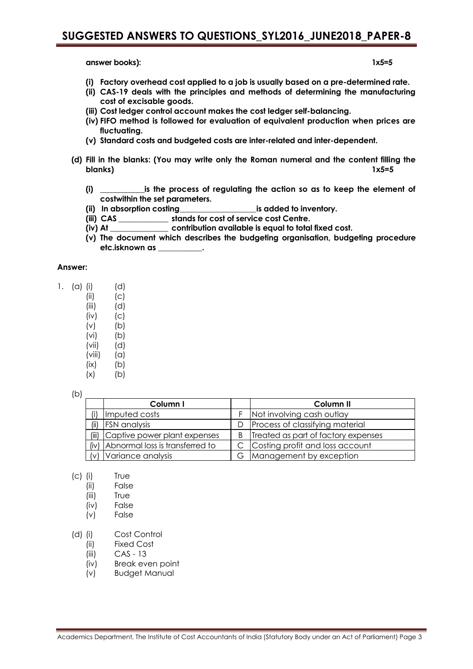**answer books): 1x5=5**

- **(i) Factory overhead cost applied to a job is usually based on a pre-determined rate.**
- **(ii) CAS-19 deals with the principles and methods of determining the manufacturing cost of excisable goods.**
- **(iii) Cost ledger control account makes the cost ledger self-balancing.**
- **(iv) FIFO method is followed for evaluation of equivalent production when prices are fluctuating.**
- **(v) Standard costs and budgeted costs are inter-related and inter-dependent.**
- **(d) Fill in the blanks: (You may write only the Roman numeral and the content filling the blanks) 1x5=5**
	- **(i) \_\_\_\_\_\_\_\_\_\_\_\_is the process of regulating the action so as to keep the element of costwithin the set parameters.**
	- **(ii) In absorption costing\_\_\_\_\_\_\_\_\_\_\_\_\_\_\_\_\_\_\_is added to inventory.**
	- **(iii) CAS \_\_\_\_\_\_\_\_\_\_\_\_\_ stands for cost of service cost Centre.**
	- **(iv) At \_\_\_\_\_\_\_\_\_\_\_\_\_\_\_ contribution available is equal to total fixed cost.**
	- **(v) The document which describes the budgeting organisation, budgeting procedure etc.isknown as \_\_\_\_\_\_\_\_\_\_\_.**

### **Answer:**

- 1. (a) (i) (d)
	- $(ii)$   $(c)$
	- (iii) (d)
	- $(iv)$   $(c)$  $(v)$   $(b)$
	-
	- $(vi)$   $(b)$ (vii) (d)
	- $(viii)$   $(a)$
	- $(ix)$   $(b)$
	- $(x)$  (b)

(b)

|       | Column I                        |   | Column II                           |
|-------|---------------------------------|---|-------------------------------------|
| (i)   | Imputed costs                   |   | Not involving cash outlay           |
| (ii)  | <b>FSN</b> analysis             | Ð | Process of classifying material     |
| (iii) | Captive power plant expenses    | B | Treated as part of factory expenses |
| (iv)  | Abnormal loss is transferred to |   | Costing profit and loss account     |
|       | Variance analysis               | G | Management by exception             |

- (c) (i) True
	- (ii) False
	- (iii) True
	- (iv) False
	- (v) False

## (d) (i) Cost Control

- (ii) Fixed Cost
- (iii) CAS 13
- (iv) Break even point
- (v) Budget Manual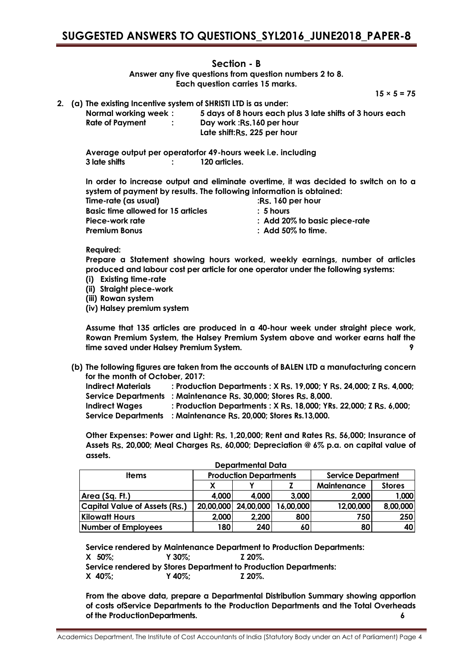## **Section - B**

**Answer any five questions from question numbers 2 to 8. Each question carries 15 marks.**

 $15 \times 5 = 75$ 

**2. (a) The existing Incentive system of SHRISTI LTD is as under: Normal working week : 5 days of 8 hours each plus 3 late shifts of 3 hours each Rate of Payment : Day work :**Rs.**160 per hour Late shift:**Rs. **225 per hour**

**Average output per operatorfor 49-hours week i.e. including 3 late shifts : 120 articles.**

**In order to increase output and eliminate overtime, it was decided to switch on to a system of payment by results. The following information is obtained:**

| $:$ Rs. 160 per hour                     |
|------------------------------------------|
| $\therefore$ 5 hours                     |
| $\therefore$ Add 20% to basic piece-rate |
| $\therefore$ Add 50% to time.            |
|                                          |

**Required:**

**Prepare a Statement showing hours worked, weekly earnings, number of articles produced and labour cost per article for one operator under the following systems:** 

- **(i) Existing time-rate**
- **(ii) Straight piece-work**

**(iii) Rowan system**

**(iv) Halsey premium system**

**Assume that 135 articles are produced in a 40-hour week under straight piece work, Rowan Premium System, the Halsey Premium System above and worker earns half the time saved under Halsey Premium System. 9**

**(b) The following figures are taken from the accounts of BALEN LTD a manufacturing concern for the month of October, 2017:**

| <b>Indirect Materials</b>  | : Production Departments : X Rs. 19,000; Y Rs. 24,000; Z Rs. 4,000; |
|----------------------------|---------------------------------------------------------------------|
|                            | Service Departments : Maintenance Rs. 30,000; Stores Rs. 8,000.     |
| Indirect Waaes             | : Production Departments : X Rs. 18,000; YRs. 22,000; Z Rs. 6,000;  |
| <b>Service Departments</b> | : Maintenance Rs. 20.000: Stores Rs.13.000.                         |

**Other Expenses: Power and Light:** Rs. **1,20,000; Rent and Rates** Rs. **56,000; Insurance of Assets** Rs. **20,000; Meal Charges** Rs. **60,000; Depreciation @ 6% p.a. on capital value of assets.**

| <b>Departmental Data</b>             |                  |                               |           |                           |               |  |
|--------------------------------------|------------------|-------------------------------|-----------|---------------------------|---------------|--|
| <b>Items</b>                         |                  | <b>Production Departments</b> |           | <b>Service Department</b> |               |  |
|                                      |                  |                               |           | <b>Maintenance</b>        | <b>Stores</b> |  |
| Area (Sq. Ft.)                       | 4.000            | 4.000                         | 3.000     | 2,000                     | 1,000         |  |
| <b>Capital Value of Assets (Rs.)</b> | 20,00,000        | 24,00,000                     | 16,00,000 | 12,00,000                 | 8,00,000      |  |
| <b>Kilowatt Hours</b>                | 2,000            | 2,200                         | 800       | 750                       | 250           |  |
| Number of Employees                  | 180 <sub>1</sub> | 240                           | 60        | 80                        | 40            |  |

**Service rendered by Maintenance Department to Production Departments: X 50%; Y 30%; Z 20%. Service rendered by Stores Department to Production Departments: X 40%; Y 40%; Z 20%.**

**From the above data, prepare a Departmental Distribution Summary showing apportion of costs ofService Departments to the Production Departments and the Total Overheads of the ProductionDepartments. 6**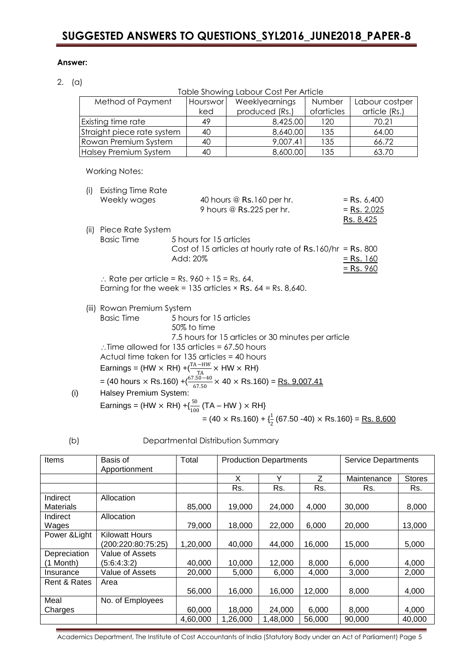## **Answer:**

2. (a)

Table Showing Labour Cost Per Article Method of Payment | Hourswor ked Weeklyearnings produced (Rs.) Number ofarticles Labour costper article (Rs.) Existing time rate  $\begin{vmatrix} 49 & 120 \\ 120 & 120 \end{vmatrix}$  70.21 Straight piece rate system | 40 | 8,640.00 | 135 | 64.00 Rowan Premium System | 40 | 9,007.41 | 135 | 66.72 |Halsey Premium System | 40 | 8,600.00 | 135 | 63.70 Working Notes: (i) Existing Time Rate Weekly wages  $40$  hours @ Rs.160 per hr.  $=$  Rs. 6,400 9 hours  $\textcircled{R}$  Rs. 225 per hr.  $=$  Rs. 2,025 Rs. 8,425 (ii) Piece Rate System Basic Time 5 hours for 15 articles Cost of 15 articles at hourly rate of Rs.160/hr = Rs. 800 Add: 20% = Rs. 160  $=$  Rs. 960  $\therefore$  Rate per article = Rs. 960 ÷ 15 = Rs. 64. Earning for the week =  $135$  articles  $\times$  Rs. 64 = Rs. 8,640. (iii) Rowan Premium System Basic Time 5 hours for 15 articles 50% to time 7.5 hours for 15 articles or 30 minutes per article  $\therefore$  Time allowed for 135 articles = 67.50 hours Actual time taken for 135 articles = 40 hours Earnings = (HW  $\times$  RH) +  $\frac{T_A-HW}{T_A} \times HW \times RH$ ) = (40 hours × Rs.160) + $\left(\frac{67.50-40}{67.50}$  × 40 × Rs.160) = <u>Rs. 9,007.41</u>

|     | 67. SU                                                                                 |
|-----|----------------------------------------------------------------------------------------|
| (i) | Halsey Premium System:                                                                 |
|     | Earnings = (HW $\times$ RH) +{ $\frac{50}{100}$ (TA – HW ) $\times$ RH}                |
|     | $= (40 \times$ Rs.160) + $\frac{1}{2}$ (67.50 -40) $\times$ Rs.160} = <u>Rs. 8,600</u> |
|     |                                                                                        |

### (b) Departmental Distribution Summary

| Items            | Basis of<br>Apportionment | Total    | <b>Production Departments</b> |          |        | <b>Service Departments</b> |               |  |
|------------------|---------------------------|----------|-------------------------------|----------|--------|----------------------------|---------------|--|
|                  |                           |          | X                             | Υ        | Ζ      | Maintenance                | <b>Stores</b> |  |
|                  |                           |          | Rs.                           | Rs.      | Rs.    | Rs.                        | Rs.           |  |
| Indirect         | Allocation                |          |                               |          |        |                            |               |  |
| <b>Materials</b> |                           | 85,000   | 19,000                        | 24,000   | 4,000  | 30,000                     | 8,000         |  |
| Indirect         | Allocation                |          |                               |          |        |                            |               |  |
| Wages            |                           | 79,000   | 18,000                        | 22,000   | 6,000  | 20,000                     | 13,000        |  |
| Power & Light    | <b>Kilowatt Hours</b>     |          |                               |          |        |                            |               |  |
|                  | (200:220:80:75:25)        | 1,20,000 | 40,000                        | 44,000   | 16,000 | 15,000                     | 5,000         |  |
| Depreciation     | Value of Assets           |          |                               |          |        |                            |               |  |
| (1 Month)        | (5:6:4:3:2)               | 40,000   | 10,000                        | 12,000   | 8,000  | 6,000                      | 4,000         |  |
| Insurance        | Value of Assets           | 20,000   | 5,000                         | 6,000    | 4,000  | 3,000                      | 2,000         |  |
| Rent & Rates     | Area                      |          |                               |          |        |                            |               |  |
|                  |                           | 56,000   | 16,000                        | 16,000   | 12,000 | 8,000                      | 4,000         |  |
| Meal             | No. of Employees          |          |                               |          |        |                            |               |  |
| Charges          |                           | 60,000   | 18,000                        | 24,000   | 6,000  | 8,000                      | 4,000         |  |
|                  |                           | 4,60,000 | 1,26,000                      | 1,48,000 | 56,000 | 90,000                     | 40,000        |  |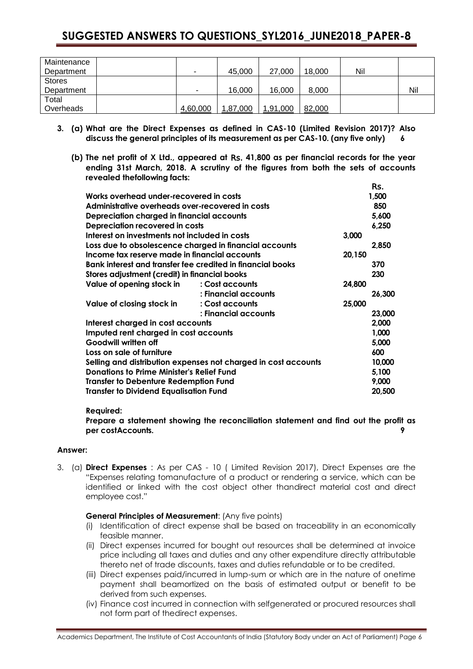| Maintenance   |                          |          |          |        |     |     |
|---------------|--------------------------|----------|----------|--------|-----|-----|
| Department    | -                        | 45,000   | 27,000   | 18.000 | Nil |     |
| <b>Stores</b> |                          |          |          |        |     |     |
| Department    | $\overline{\phantom{0}}$ | 16,000   | 16,000   | 8,000  |     | Nil |
| Total         |                          |          |          |        |     |     |
| Overheads     | 4,60,000                 | 1,87,000 | 1,91,000 | 82,000 |     |     |

- **3. (a) What are the Direct Expenses as defined in CAS-10 (Limited Revision 2017)? Also discuss the general principles of its measurement as per CAS-10. (any five only) 6**
	- **(b) The net profit of X Ltd., appeared at** Rs. **41,800 as per financial records for the year ending 31st March, 2018. A scrutiny of the figures from both the sets of accounts revealed thefollowing facts:**

Rs.

|                                                                |                      |        | ĸs.          |  |
|----------------------------------------------------------------|----------------------|--------|--------------|--|
| Works overhead under-recovered in costs<br>1,500               |                      |        |              |  |
| Administrative overheads over-recovered in costs               |                      |        |              |  |
| Depreciation charged in financial accounts<br>5,600            |                      |        |              |  |
| Depreciation recovered in costs                                |                      |        | 6,250        |  |
| Interest on investments not included in costs<br>3,000         |                      |        |              |  |
| Loss due to obsolescence charged in financial accounts         |                      |        | 2,850        |  |
| Income tax reserve made in financial accounts                  |                      | 20,150 |              |  |
| Bank interest and transfer fee credited in financial books     |                      |        |              |  |
| Stores adjustment (credit) in financial books                  |                      |        |              |  |
| Value of opening stock in                                      | : Cost accounts      | 24,800 |              |  |
|                                                                | : Financial accounts |        | 26,300       |  |
| Value of closing stock in                                      | : Cost accounts      | 25,000 |              |  |
|                                                                | : Financial accounts |        | 23,000       |  |
| Interest charged in cost accounts                              |                      |        | 2,000        |  |
| Imputed rent charged in cost accounts                          |                      |        | 1,000        |  |
| Goodwill written off                                           |                      |        | 5,000<br>600 |  |
| Loss on sale of furniture                                      |                      |        |              |  |
| Selling and distribution expenses not charged in cost accounts |                      |        |              |  |
| <b>Donations to Prime Minister's Relief Fund</b>               |                      |        |              |  |
| <b>Transfer to Debenture Redemption Fund</b>                   |                      |        | 9,000        |  |
| <b>Transfer to Dividend Equalisation Fund</b>                  |                      |        | 20,500       |  |
|                                                                |                      |        |              |  |

### **Required:**

**Prepare a statement showing the reconciliation statement and find out the profit as per costAccounts. 9**

## **Answer:**

3. (a) **Direct Expenses** : As per CAS - 10 ( Limited Revision 2017), Direct Expenses are the "Expenses relating tomanufacture of a product or rendering a service, which can be identified or linked with the cost object other thandirect material cost and direct employee cost."

## **General Principles of Measurement**: (Any five points)

- (i) Identification of direct expense shall be based on traceability in an economically feasible manner.
- (ii) Direct expenses incurred for bought out resources shall be determined at invoice price including all taxes and duties and any other expenditure directly attributable thereto net of trade discounts, taxes and duties refundable or to be credited.
- (iii) Direct expenses paid/incurred in lump-sum or which are in the nature of onetime payment shall beamortized on the basis of estimated output or benefit to be derived from such expenses.
- (iv) Finance cost incurred in connection with selfgenerated or procured resources shall not form part of thedirect expenses.

Academics Department, The Institute of Cost Accountants of India (Statutory Body under an Act of Parliament) Page 6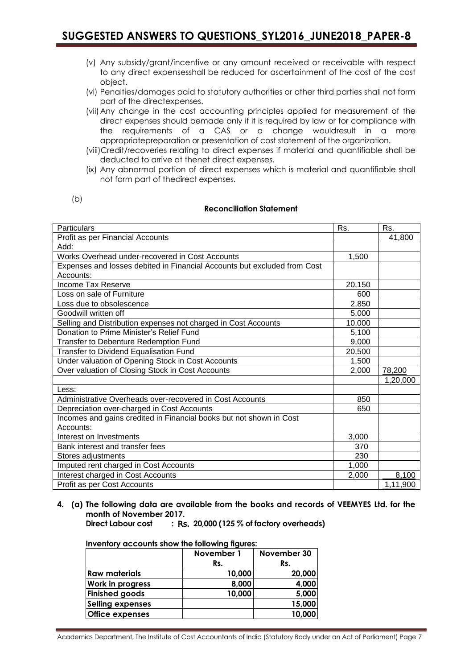- (v) Any subsidy/grant/incentive or any amount received or receivable with respect to any direct expensesshall be reduced for ascertainment of the cost of the cost object.
- (vi) Penalties/damages paid to statutory authorities or other third parties shall not form part of the directexpenses.
- (vii)Any change in the cost accounting principles applied for measurement of the direct expenses should bemade only if it is required by law or for compliance with the requirements of a CAS or a change wouldresult in a more appropriatepreparation or presentation of cost statement of the organization.
- (viii)Credit/recoveries relating to direct expenses if material and quantifiable shall be deducted to arrive at thenet direct expenses.
- (ix) Any abnormal portion of direct expenses which is material and quantifiable shall not form part of thedirect expenses.

| ٠<br>۰,<br>- |
|--------------|
|--------------|

### **Reconciliation Statement**

| <b>Particulars</b>                                                       | Rs.    | Rs.      |
|--------------------------------------------------------------------------|--------|----------|
| Profit as per Financial Accounts                                         |        | 41,800   |
| Add:                                                                     |        |          |
| Works Overhead under-recovered in Cost Accounts                          | 1,500  |          |
| Expenses and losses debited in Financial Accounts but excluded from Cost |        |          |
| Accounts:                                                                |        |          |
| Income Tax Reserve                                                       | 20,150 |          |
| Loss on sale of Furniture                                                | 600    |          |
| Loss due to obsolescence                                                 | 2,850  |          |
| Goodwill written off                                                     | 5,000  |          |
| Selling and Distribution expenses not charged in Cost Accounts           | 10,000 |          |
| Donation to Prime Minister's Relief Fund                                 | 5,100  |          |
| Transfer to Debenture Redemption Fund                                    | 9,000  |          |
| Transfer to Dividend Equalisation Fund                                   | 20,500 |          |
| Under valuation of Opening Stock in Cost Accounts                        | 1,500  |          |
| Over valuation of Closing Stock in Cost Accounts                         | 2,000  | 78,200   |
|                                                                          |        | 1,20,000 |
| Less:                                                                    |        |          |
| Administrative Overheads over-recovered in Cost Accounts                 | 850    |          |
| Depreciation over-charged in Cost Accounts                               | 650    |          |
| Incomes and gains credited in Financial books but not shown in Cost      |        |          |
| Accounts:                                                                |        |          |
| Interest on Investments                                                  | 3,000  |          |
| Bank interest and transfer fees                                          | 370    |          |
| Stores adjustments                                                       | 230    |          |
| Imputed rent charged in Cost Accounts                                    | 1,000  |          |
| Interest charged in Cost Accounts                                        | 2,000  | 8,100    |
| Profit as per Cost Accounts                                              |        | 1,11,900 |

**4. (a) The following data are available from the books and records of VEEMYES Ltd. for the month of November 2017.**

**Direct Labour cost :** Rs. **20,000 (125 % of factory overheads)**

| Inventory accounts show the following figures: |  |  |  |  |
|------------------------------------------------|--|--|--|--|
|------------------------------------------------|--|--|--|--|

|                         | November 1 | November 30 |
|-------------------------|------------|-------------|
|                         | Rs.        | Rs.         |
| <b>Raw materials</b>    | 10,000     | 20,000      |
| Work in progress        | 8,000      | 4,000       |
| <b>Finished goods</b>   | 10,000     | 5,000       |
| <b>Selling expenses</b> |            | 15,000      |
| <b>Office expenses</b>  |            | 10,000      |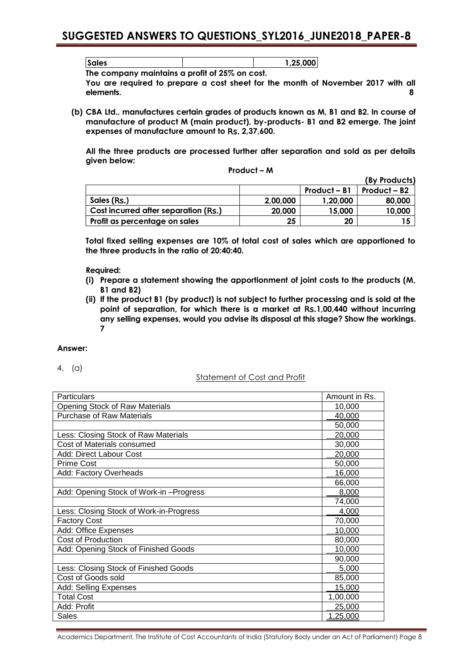**Sales 1,25,000**

**The company maintains a profit of 25% on cost.**

**You are required to prepare a cost sheet for the month of November 2017 with all elements. 8**

**(b) CBA Ltd., manufactures certain grades of products known as M, B1 and B2. In course of manufacture of product M (main product), by-products- B1 and B2 emerge. The joint expenses of manufacture amount to** Rs. **2,37,600.**

**All the three products are processed further after separation and sold as per details given below: Product – M** 

|                                      |          |              | (By Products)            |
|--------------------------------------|----------|--------------|--------------------------|
|                                      |          | Product – B1 | Product – B <sub>2</sub> |
| Sales (Rs.)                          | 2,00,000 | 1,20,000     | 80,000                   |
| Cost incurred after separation (Rs.) | 20,000   | 15,000       | 10,000                   |
| Profit as percentage on sales        | 25       | 20           |                          |

**Total fixed selling expenses are 10% of total cost of sales which are apportioned to the three products in the ratio of 20:40:40.**

**Required:**

- **(i) Prepare a statement showing the apportionment of joint costs to the products (M, B1 and B2)**
- **(ii) If the product B1 (by product) is not subject to further processing and is sold at the point of separation, for which there is a market at** Rs.**1,00,440 without incurring any selling expenses, would you advise its disposal at this stage? Show the workings. 7**

## **Answer:**

4. (a)

## Statement of Cost and Profit

| <b>Particulars</b>                      | Amount in Rs.   |
|-----------------------------------------|-----------------|
| Opening Stock of Raw Materials          | 10,000          |
| <b>Purchase of Raw Materials</b>        | 40,000          |
|                                         | 50,000          |
| Less: Closing Stock of Raw Materials    | 20,000          |
| Cost of Materials consumed              | 30,000          |
| Add: Direct Labour Cost                 | 20,000          |
| <b>Prime Cost</b>                       | 50,000          |
| Add: Factory Overheads                  | 16,000          |
|                                         | 66,000          |
| Add: Opening Stock of Work-in-Progress  | 8,000           |
|                                         | 74,000          |
| Less: Closing Stock of Work-in-Progress | 4,000           |
| <b>Factory Cost</b>                     | 70,000          |
| Add: Office Expenses                    | 10,000          |
| Cost of Production                      | 80,000          |
| Add: Opening Stock of Finished Goods    | 10,000          |
|                                         | 90,000          |
| Less: Closing Stock of Finished Goods   | 5,000           |
| Cost of Goods sold                      | 85,000          |
| Add: Selling Expenses                   | 15,000          |
| <b>Total Cost</b>                       | 1,00,000        |
| Add: Profit                             | 25,000          |
| Sales                                   | <u>1,25,000</u> |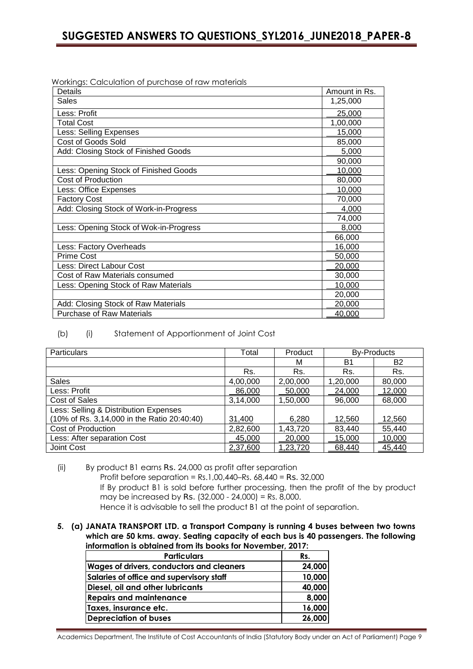Workings: Calculation of purchase of raw materials

| <b>Details</b>                         | Amount in Rs. |
|----------------------------------------|---------------|
| <b>Sales</b>                           | 1,25,000      |
| Less: Profit                           | 25,000        |
| Total Cost                             | 1,00,000      |
| Less: Selling Expenses                 | 15,000        |
| Cost of Goods Sold                     | 85,000        |
| Add: Closing Stock of Finished Goods   | 5,000         |
|                                        | 90,000        |
| Less: Opening Stock of Finished Goods  | 10,000        |
| Cost of Production                     | 80,000        |
| Less: Office Expenses                  | 10,000        |
| <b>Factory Cost</b>                    | 70,000        |
| Add: Closing Stock of Work-in-Progress | 4,000         |
|                                        | 74,000        |
| Less: Opening Stock of Wok-in-Progress | 8,000         |
|                                        | 66,000        |
| Less: Factory Overheads                | 16,000        |
| <b>Prime Cost</b>                      | 50,000        |
| Less: Direct Labour Cost               | 20,000        |
| Cost of Raw Materials consumed         | 30,000        |
| Less: Opening Stock of Raw Materials   | 10,000        |
|                                        | 20,000        |
| Add: Closing Stock of Raw Materials    | 20,000        |
| <b>Purchase of Raw Materials</b>       | 40,000        |

## (b) (i) Statement of Apportionment of Joint Cost

| <b>Particulars</b>                          | Total    | Product  | <b>By-Products</b> |           |
|---------------------------------------------|----------|----------|--------------------|-----------|
|                                             |          | м        | B1                 | <b>B2</b> |
|                                             | Rs.      | Rs.      | Rs.                | Rs.       |
| <b>Sales</b>                                | 4,00,000 | 2,00,000 | 1,20,000           | 80,000    |
| Less: Profit                                | 86,000   | 50,000   | 24,000             | 12,000    |
| <b>Cost of Sales</b>                        | 3,14,000 | 1,50,000 | 96,000             | 68,000    |
| Less: Selling & Distribution Expenses       |          |          |                    |           |
| (10% of Rs. 3,14,000 in the Ratio 20:40:40) | 31,400   | 6,280    | 12,560             | 12,560    |
| Cost of Production                          | 2,82,600 | 1,43,720 | 83,440             | 55,440    |
| Less: After separation Cost                 | 45,000   | 20,000   | 15,000             | 10,000    |
| Joint Cost                                  | 2,37,600 | 1,23,720 | 68,440             | 45,440    |

- (ii) By product B1 earns Rs. 24,000 as profit after separation Profit before separation = Rs.1,00,440–Rs. 68,440 = Rs. 32,000 If By product B1 is sold before further processing, then the profit of the by product may be increased by Rs. (32,000 - 24,000) = Rs. 8,000. Hence it is advisable to sell the product B1 at the point of separation.
- **5. (a) JANATA TRANSPORT LTD. a Transport Company is running 4 buses between two towns which are 50 kms. away. Seating capacity of each bus is 40 passengers. The following information is obtained from its books for November, 2017:**

| <b>Particulars</b>                               | Rs.    |
|--------------------------------------------------|--------|
| <b>Wages of drivers, conductors and cleaners</b> | 24,000 |
| Salaries of office and supervisory staff         | 10,000 |
| Diesel, oil and other lubricants                 | 40,000 |
| <b>Repairs and maintenance</b>                   | 8,000  |
| Taxes, insurance etc.                            | 16,000 |
| <b>Depreciation of buses</b>                     | 26,000 |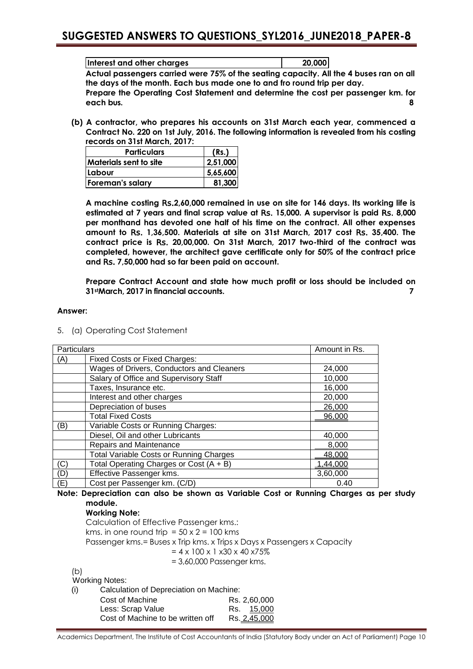| Interest and other charges | 20.000 |
|----------------------------|--------|

**Actual passengers carried were 75% of the seating capacity. All the 4 buses ran on all the days of the month. Each bus made one to and fro round trip per day.**

**Prepare the Operating Cost Statement and determine the cost per passenger km. for each bus. 8**

**(b) A contractor, who prepares his accounts on 31st March each year, commenced a Contract No. 220 on 1st July, 2016. The following information is revealed from his costing records on 31st March, 2017:**

| <b>Particulars</b>            | (Rs.)    |
|-------------------------------|----------|
| <b>Materials sent to site</b> | 2,51,000 |
| Labour                        | 5,65,600 |
| <b>Foreman's salary</b>       | 81,300   |

**A machine costing** Rs.**2,60,000 remained in use on site for 146 days. Its working life is estimated at 7 years and final scrap value at** Rs. **15,000. A supervisor is paid** Rs. **8,000 per monthand has devoted one half of his time on the contract. All other expenses amount to** Rs. **1,36,500. Materials at site on 31st March, 2017 cost** Rs. **35,400. The contract price is** Rs. **20,00,000. On 31st March, 2017 two-third of the contract was completed, however, the architect gave certificate only for 50% of the contract price and** Rs. **7,50,000 had so far been paid on account.**

**Prepare Contract Account and state how much profit or loss should be included on 31stMarch, 2017 in financial accounts. 7**

## **Answer:**

5. (a) Operating Cost Statement

| Particulars |                                                | Amount in Rs. |
|-------------|------------------------------------------------|---------------|
| (A)         | <b>Fixed Costs or Fixed Charges:</b>           |               |
|             | Wages of Drivers, Conductors and Cleaners      | 24,000        |
|             | Salary of Office and Supervisory Staff         | 10,000        |
|             | Taxes, Insurance etc.                          | 16,000        |
|             | Interest and other charges                     | 20,000        |
|             | Depreciation of buses                          | 26,000        |
|             | <b>Total Fixed Costs</b>                       | 96,000        |
| B)          | Variable Costs or Running Charges:             |               |
|             | Diesel, Oil and other Lubricants               | 40,000        |
|             | Repairs and Maintenance                        | 8,000         |
|             | <b>Total Variable Costs or Running Charges</b> | 48,000        |
| (C)         | Total Operating Charges or Cost (A + B)        | .44,000       |
| (D)         | Effective Passenger kms.                       | 3,60,000      |
| (E)         | Cost per Passenger km. (C/D)                   | 0.40          |

## **Note: Depreciation can also be shown as Variable Cost or Running Charges as per study module.**

### **Working Note:**

Calculation of Effective Passenger kms.: kms. in one round trip =  $50 \times 2 = 100$  kms Passenger kms.= Buses x Trip kms. x Trips x Days x Passengers x Capacity  $= 4 \times 100 \times 1 \times 30 \times 40 \times 75\%$ = 3,60,000 Passenger kms.

(b) Working Notes:

(i) Calculation of Depreciation on Machine:

| Cost of Machine                   | Rs. 2,60,000 |
|-----------------------------------|--------------|
| Less: Scrap Value                 | Rs. 15,000   |
| Cost of Machine to be written off | Rs. 2,45,000 |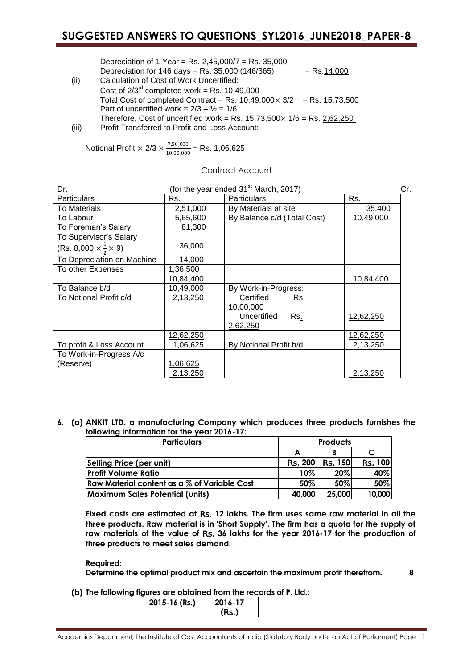Depreciation of 1 Year = Rs. 2,45,000/7 = Rs. 35,000 Depreciation for  $146 \text{ days} = \text{Rs. } 35,000 (146/365) = \text{Rs. } 14,000$ 

- (ii) Calculation of Cost of Work Uncertified: Cost of  $2/3^{rd}$  completed work = Rs. 10,49,000 Total Cost of completed Contract = Rs.  $10,49,000 \times 3/2$  = Rs. 15,73,500 Part of uncertified work =  $2/3 - \frac{1}{2} = 1/6$ Therefore, Cost of uncertified work = Rs.  $15,73,500 \times 1/6$  = Rs. 2,62,250
- (iii) Profit Transferred to Profit and Loss Account:

Notional Profit 
$$
\times
$$
 2/3  $\times \frac{7,50,000}{10,00,000}$  = Rs. 1,06,625

Contract Account

| Dr.                                        | (for the year ended $31st$ March, 2017)<br>Cr. |                                |                  |
|--------------------------------------------|------------------------------------------------|--------------------------------|------------------|
| <b>Particulars</b>                         | Rs.                                            | <b>Particulars</b>             | Rs.              |
| To Materials                               | 2,51,000                                       | By Materials at site           | 35,400           |
| To Labour                                  | 5,65,600                                       | By Balance c/d (Total Cost)    | 10,49,000        |
| To Foreman's Salary                        | 81,300                                         |                                |                  |
| To Supervisor's Salary                     |                                                |                                |                  |
| (Rs. 8,000 $\times \frac{1}{2} \times 9$ ) | 36,000                                         |                                |                  |
| To Depreciation on Machine                 | 14,000                                         |                                |                  |
| To other Expenses                          | 1,36,500                                       |                                |                  |
|                                            | <u>10,84,400</u>                               |                                | <u>10,84,400</u> |
| To Balance b/d                             | 10,49,000                                      | By Work-in-Progress:           |                  |
| To Notional Profit c/d                     | 2,13,250                                       | Certified<br>Rs.<br>10,00,000  |                  |
|                                            |                                                | Uncertified<br>Rs.<br>2,62,250 | 12,62,250        |
|                                            | <u>12,62,250</u>                               |                                | <u>12,62,250</u> |
| To profit & Loss Account                   | 1,06,625                                       | By Notional Profit b/d         | 2,13,250         |
| To Work-in-Progress A/c                    |                                                |                                |                  |
| (Reserve)                                  | 1,06,625                                       |                                |                  |
|                                            | 2,13,250                                       |                                | 2,13,250         |

## **6. (a) ANKIT LTD. a manufacturing Company which produces three products furnishes the following information for the year 2016-17:**

| <b>Particulars</b>                           |                | <b>Products</b> |                |
|----------------------------------------------|----------------|-----------------|----------------|
|                                              | А              |                 |                |
| Selling Price (per unit)                     | <b>Rs. 200</b> | <b>Rs. 150</b>  | <b>Rs. 100</b> |
| <b>Profit Volume Ratio</b>                   | $10\%$         | 20%             | 40%            |
| Raw Material content as a % of Variable Cost | 50%            | 50%             | 50%            |
| <b>Maximum Sales Potential (units)</b>       | 40,000         | 25,000          | 10,000         |

**Fixed costs are estimated at** Rs. **12 lakhs. The firm uses same raw material in all the three products. Raw material is in 'Short Supply'. The firm has a quota for the supply of raw materials of the value of** Rs. **36 lakhs for the year 2016-17 for the production of three products to meet sales demand.**

**Required:**

**Determine the optimal product mix and ascertain the maximum profit therefrom. 8**

## **(b) The following figures are obtained from the records of P. Ltd.:**

| 2015-16 (Rs.) | 2016-17 |
|---------------|---------|
|               | (Rs.    |

Academics Department, The Institute of Cost Accountants of India (Statutory Body under an Act of Parliament) Page 11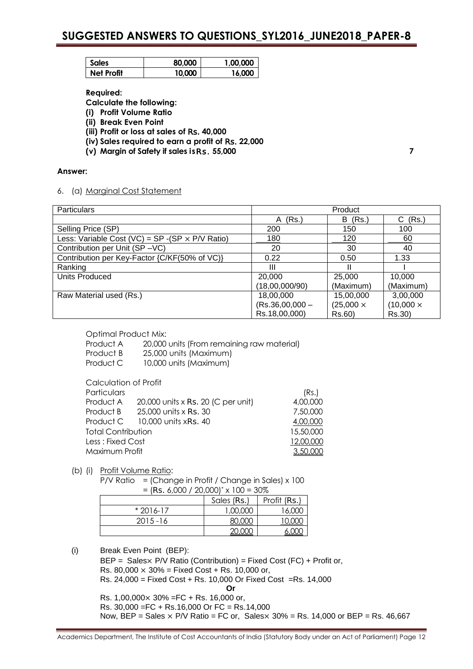| Sales      | 80.000 | 1.00.000 |
|------------|--------|----------|
| Net Profit | 10.000 | 16.000   |

**Required:**

**Calculate the following:**

- **(i) Profit Volume Ratio**
- **(ii) Break Even Point**
- **(iii) Profit or loss at sales of** Rs. **40,000**
- **(iv) Sales required to earn a profit of** Rs. **22,000**
- **(v) Margin of Safety if sales is**Rs. **55,000 7**

## **Answer:**

6. (a) Marginal Cost Statement

| <b>Particulars</b>                                              | Product           |                  |                  |
|-----------------------------------------------------------------|-------------------|------------------|------------------|
|                                                                 | (Rs.)<br>A        | (Rs.)<br>B       | (Rs.)<br>C.      |
| Selling Price (SP)                                              | 200               | 150              | 100              |
| Less: Variable Cost (VC) = $SP - (SP \times P/V \text{ Ratio})$ | 180               | 120              | 60               |
| Contribution per Unit (SP-VC)                                   | 20                | 30               | 40               |
| Contribution per Key-Factor {C/KF(50% of VC)}                   | 0.22              | 0.50             | 1.33             |
| Ranking                                                         | Ш                 |                  |                  |
| Units Produced                                                  | 20,000            | 25,000           | 10,000           |
|                                                                 | (18,00,000/90)    | (Maximum)        | (Maximum)        |
| Raw Material used (Rs.)                                         | 18,00,000         | 15,00,000        | 3,00,000         |
|                                                                 | $(Rs.36,00,000 -$ | $(25,000 \times$ | $(10,000 \times$ |
|                                                                 | Rs.18,00,000)     | Rs.60)           | Rs.30)           |

Optimal Product Mix:

Product A 20,000 units (From remaining raw material) Product B 25,000 units (Maximum) Product C 10,000 units (Maximum) Calculation of Profit

| <u>ouicoiunoi i oi i ioill</u> |                                    |           |
|--------------------------------|------------------------------------|-----------|
| Particulars                    |                                    | (Rs.)     |
| Product A                      | 20,000 units x Rs. 20 (C per unit) | 4,00,000  |
| Product B                      | 25,000 units x Rs. 30              | 7,50,000  |
|                                | Product $C = 10,000$ units xRs. 40 | 4,00,000  |
| <b>Total Contribution</b>      |                                    | 15,50,000 |
| Less : Fixed Cost              |                                    | 12,00,000 |
| Maximum Profit                 |                                    | 3,50,000  |
|                                |                                    |           |

(b) (i) Profit Volume Ratio:

P/V Ratio = (Change in Profit / Change in Sales) x 100  $=$  (Rs. 6,000 / 20,000)<sup>\*</sup> x 100 = 30%

| .           |             |              |  |  |
|-------------|-------------|--------------|--|--|
|             | Sales (Rs.) | Profit (Rs.) |  |  |
| $*2016-17$  | 1,00,000    | 16.000       |  |  |
| $2015 - 16$ | 80,000      | 10,000       |  |  |
|             | 20,000      | 6.000        |  |  |

(i) Break Even Point (BEP):

BEP = Sales× P/V Ratio (Contribution) = Fixed Cost (FC) + Profit or, Rs. 80,000  $\times$  30% = Fixed Cost + Rs. 10,000 or, Rs. 24,000 = Fixed Cost + Rs. 10,000 Or Fixed Cost =Rs. 14,000 **Or** Rs.  $1,00,000 \times 30\% = FC + Rs. 16,000$  or, Rs. 30,000 =FC + Rs.16,000 Or FC = Rs.14,000 Now, BEP = Sales  $\times$  P/V Ratio = FC or, Sales $\times$  30% = Rs. 14,000 or BEP = Rs. 46,667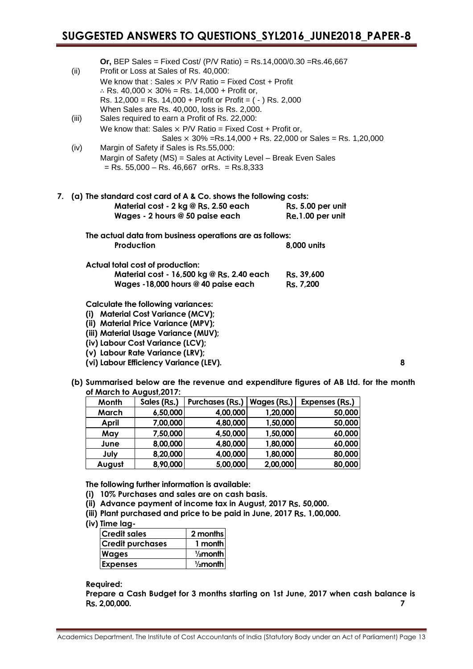| (ii)  | <b>Or, BEP Sales = Fixed Cost/ (P/V Ratio) = Rs.14,000/0.30 = Rs.46,667</b><br>Profit or Loss at Sales of Rs. 40,000:<br>We know that: Sales $\times$ P/V Ratio = Fixed Cost + Profit<br>.: Rs. 40,000 $\times$ 30% = Rs. 14,000 + Profit or,<br>Rs. $12,000 =$ Rs. $14,000 +$ Profit or Profit = $(-)$ Rs. 2,000 |                                       |
|-------|-------------------------------------------------------------------------------------------------------------------------------------------------------------------------------------------------------------------------------------------------------------------------------------------------------------------|---------------------------------------|
| (iii) | When Sales are Rs. 40,000, loss is Rs. 2,000.<br>Sales required to earn a Profit of Rs. 22,000:<br>We know that: Sales $\times$ P/V Ratio = Fixed Cost + Profit or,                                                                                                                                               |                                       |
| (iv)  | Sales $\times$ 30% = Rs.14,000 + Rs. 22,000 or Sales = Rs. 1,20,000<br>Margin of Safety if Sales is Rs.55,000:<br>Margin of Safety (MS) = Sales at Activity Level - Break Even Sales<br>$=$ Rs. 55,000 $-$ Rs. 46,667 or Rs. $=$ Rs.8,333                                                                         |                                       |
|       | 7. (a) The standard cost card of A & Co. shows the following costs:<br>Material cost - 2 kg @ Rs. 2.50 each<br>Wages - 2 hours @ 50 paise each                                                                                                                                                                    | Rs. 5.00 per unit<br>Re.1.00 per unit |
|       | The actual data from business operations are as follows:<br>Production                                                                                                                                                                                                                                            | 8,000 units                           |
|       | Actual total cost of production:<br>Material cost - 16,500 kg @ Rs. 2.40 each<br>Wages -18,000 hours @ 40 paise each                                                                                                                                                                                              | Rs. 39,600<br>Rs. 7,200               |
|       | <b>Calculate the following variances:</b><br>(i) Material Cost Variance (MCV);<br>(ii) Material Price Variance (MPV);                                                                                                                                                                                             |                                       |

- **(iii) Material Usage Variance (MUV);**
- **(iv) Labour Cost Variance (LCV);**
- **(v) Labour Rate Variance (LRV);**
- **(vi) Labour Efficiency Variance (LEV). 8**
- **(b) Summarised below are the revenue and expenditure figures of AB Ltd. for the month of March to August,2017:**

| <b>Month</b> | Sales (Rs.) | Purchases (Rs.) | Wages (Rs.) | Expenses (Rs.) |
|--------------|-------------|-----------------|-------------|----------------|
| March        | 6,50,000    | 4,00,000        | 1,20,000    | 50,000         |
| April        | 7,00,000    | 4,80,000        | 1,50,000    | 50,000         |
| May          | 7,50,000    | 4,50,000        | 1,50,000    | 60,000         |
| June         | 8,00,000    | 4,80,000        | 1,80,000    | 60,000         |
| July         | 8,20,000    | 4,00,000        | 1,80,000    | 80,000         |
| August       | 8,90,000    | 5,00,000        | 2,00,000    | 80,000         |

**The following further information is available:**

- **(i) 10% Purchases and sales are on cash basis.**
- **(ii) Advance payment of income tax in August, 2017** Rs. **50,000.**
- **(iii) Plant purchased and price to be paid in June, 2017** Rs. **1,00,000.**
- **(iv) Time lag-**

| <b>Credit sales</b>     | 2 months            |
|-------------------------|---------------------|
| <b>Credit purchases</b> | 1 month             |
| <b>Wages</b>            | $\frac{1}{2}$ month |
| <b>Expenses</b>         | $\frac{1}{2}$ month |

**Required:**

**Prepare a Cash Budget for 3 months starting on 1st June, 2017 when cash balance is** Rs. **2,00,000. 7**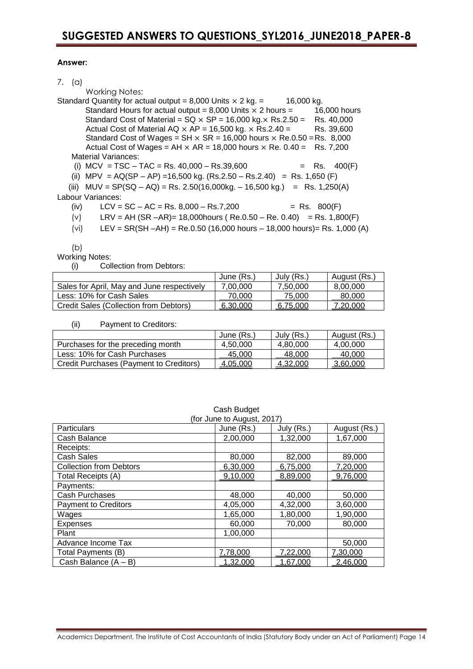## **Answer:**

| $(\alpha)$ | Working Notes:                                                                        |       |              |
|------------|---------------------------------------------------------------------------------------|-------|--------------|
|            | Standard Quantity for actual output = 8,000 Units $\times$ 2 kg. =<br>16,000 kg.      |       |              |
|            | Standard Hours for actual output = 8,000 Units $\times$ 2 hours =                     |       | 16,000 hours |
|            | Standard Cost of Material = $SQ \times SP = 16,000$ kg. $\times$ Rs.2.50 = Rs. 40,000 |       |              |
|            | Actual Cost of Material AQ $\times$ AP = 16,500 kg. $\times$ Rs.2.40 =                |       | Rs. 39,600   |
|            | Standard Cost of Wages = $SH \times SR = 16,000$ hours $\times$ Re.0.50 = Rs. 8,000   |       |              |
|            | Actual Cost of Wages = AH $\times$ AR = 18,000 hours $\times$ Re. 0.40 = Rs. 7,200    |       |              |
|            | Material Variances:                                                                   |       |              |
|            | (i) $MCV = TSC - TAC = Rs. 40,000 - Rs.39,600$                                        | = Rs. | 400(F)       |
|            | (ii) MPV = AQ(SP - AP) = 16,500 kg. (Rs.2.50 - Rs.2.40) = Rs. 1,650 (F)               |       |              |
|            | (iii) $MUV = SP(SQ - AQ) = Rs. 2.50(16,000kg. - 16,500 kg.)$<br>$=$ Rs. 1,250(A)      |       |              |

### Labour Variances:

 $(iv)$  LCV = SC – AC = Rs. 8,000 – Rs. 7,200 = Rs. 800(F)

(v) 
$$
LRV = AH (SR - AR) = 18,000 \text{ hours} (Re. 0.50 - Re. 0.40) = Rs. 1,800(F)
$$

(vi)  $LEV = SR(SH - AH) = Re.0.50 (16,000 hours - 18,000 hours) = Rs. 1,000 (A)$ 

(b)

Working Notes:

(i) Collection from Debtors:

|                                            | June (Rs.) | July (Rs.) | August (Rs.) |
|--------------------------------------------|------------|------------|--------------|
| Sales for April, May and June respectively | 7.00.000   | 7.50.000   | 8.00.000     |
| Less: 10% for Cash Sales                   | 70.000     | 75,000     | 80,000       |
| Credit Sales (Collection from Debtors)     | 6.30.000   | 6.75.000   | 7,20,000     |

## (ii) Payment to Creditors:

|                                         | June (Rs.) | July (Rs.) | August (Rs.) |
|-----------------------------------------|------------|------------|--------------|
| Purchases for the preceding month       | 4.50.000   | 4.80.000   | 4.00.000     |
| Less: 10% for Cash Purchases            | 45.000     | 48.000     | 40.000       |
| Credit Purchases (Payment to Creditors) | 4.05.000   | 4.32.000   | 3.60.000     |

|                                | (for June to August, 2017) |            |              |  |  |
|--------------------------------|----------------------------|------------|--------------|--|--|
| Particulars                    | June (Rs.)                 | July (Rs.) | August (Rs.) |  |  |
| Cash Balance                   | 2,00,000                   | 1,32,000   | 1,67,000     |  |  |
| Receipts:                      |                            |            |              |  |  |
| <b>Cash Sales</b>              | 80,000                     | 82,000     | 89,000       |  |  |
| <b>Collection from Debtors</b> | 6,30,000                   | 6,75,000   | 7,20,000     |  |  |
| Total Receipts (A)             | 9,10,000                   | 8,89,000   | 9,76,000     |  |  |
| Payments:                      |                            |            |              |  |  |
| <b>Cash Purchases</b>          | 48,000                     | 40,000     | 50,000       |  |  |
| <b>Payment to Creditors</b>    | 4,05,000                   | 4,32,000   | 3,60,000     |  |  |
| Wages                          | 1,65,000                   | 1,80,000   | 1,90,000     |  |  |
| <b>Expenses</b>                | 60,000                     | 70,000     | 80,000       |  |  |
| Plant                          | 1,00,000                   |            |              |  |  |
| Advance Income Tax             |                            |            | 50,000       |  |  |
| Total Payments (B)             | 7,78,000                   | 7,22,000   | 7,30,000     |  |  |
| Cash Balance $(A - B)$         | 1,32,000                   | 1,67,000   | 2,46,000     |  |  |

| Cash Budget |  |
|-------------|--|
|             |  |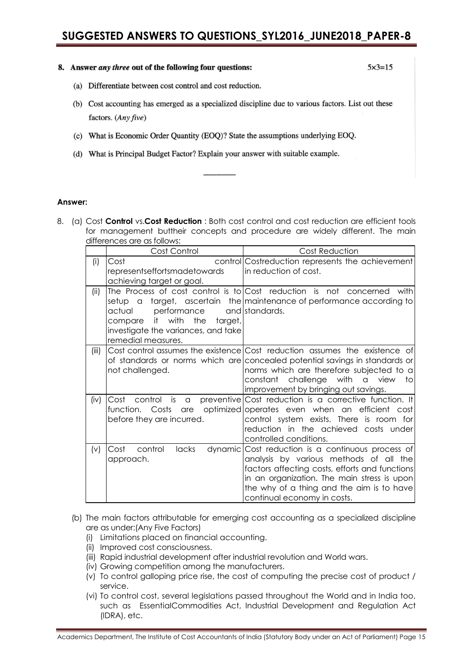### 8. Answer *any three* out of the following four questions:

 $5 \times 3 = 15$ 

- (a) Differentiate between cost control and cost reduction.
- (b) Cost accounting has emerged as a specialized discipline due to various factors. List out these factors. (Any five)
- (c) What is Economic Order Ouantity (EOO)? State the assumptions underlying EOQ.
- (d) What is Principal Budget Factor? Explain your answer with suitable example.

### **Answer:**

8. (a) Cost **Control** vs.**Cost Reduction** : Both cost control and cost reduction are efficient tools for management buttheir concepts and procedure are widely different. The main differences are as follows:

|       | Cost Control                                                                                                                       | <b>Cost Reduction</b>                                                                                                                                                                                                                                                                 |
|-------|------------------------------------------------------------------------------------------------------------------------------------|---------------------------------------------------------------------------------------------------------------------------------------------------------------------------------------------------------------------------------------------------------------------------------------|
| (i)   | Cost<br>representseffortsmadetowards<br>achieving target or goal.                                                                  | control Costreduction represents the achievement<br>in reduction of cost.                                                                                                                                                                                                             |
| (ii)  | setup a<br>actual<br>performance<br>it with the<br>target,<br>compare<br>investigate the variances, and take<br>remedial measures. | The Process of cost control is to $Cost$ reduction is not concerned<br>with<br>target, ascertain the maintenance of performance according to<br>and standards.                                                                                                                        |
| (iii) | not challenged.                                                                                                                    | Cost control assumes the existence Cost reduction assumes the existence of<br>of standards or norms which are concealed potential savings in standards or<br>norms which are therefore subjected to a<br>constant challenge with a view<br>to<br>improvement by bringing out savings. |
| (iv)  | Cost<br>control<br>is<br>a<br>function. Costs<br>are<br>before they are incurred.                                                  | preventive Cost reduction is a corrective function. It<br>optimized operates even when an efficient cost<br>control system exists. There is room for<br>reduction in the achieved costs under<br>controlled conditions.                                                               |
| (v)   | Cost<br>control<br>lacks<br>dynamic<br>approach.                                                                                   | Cost reduction is a continuous process of<br>analysis by various methods of all the<br>factors affecting costs, efforts and functions<br>in an organization. The main stress is upon<br>the why of a thing and the aim is to have<br>continual economy in costs.                      |

- (b) The main factors attributable for emerging cost accounting as a specialized discipline are as under:(Any Five Factors)
	- (i) Limitations placed on financial accounting.
	- (ii) Improved cost consciousness.
	- (iii) Rapid industrial development after industrial revolution and World wars.
	- (iv) Growing competition among the manufacturers.
	- (v) To control galloping price rise, the cost of computing the precise cost of product / service.
	- (vi) To control cost, several legislations passed throughout the World and in India too, such as EssentialCommodities Act, Industrial Development and Regulation Act (IDRA), etc.